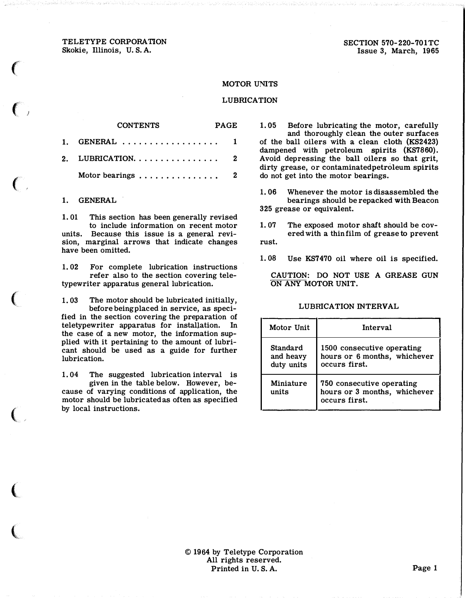TELETYPE CORPORATION Skokie, Illinois, U.S. A.

SECTION 570-220-701TC Issue 3, March, 1965

## MOTOR UNITS

### LUBRICATION

# CONTENTS PAGE GENERAL . . . . . . . . . . . . . . . . . 1

| 2. LUBRICATION. $\ldots \ldots \ldots \ldots$  |  |  |  |  |  |  |  |  |  |
|------------------------------------------------|--|--|--|--|--|--|--|--|--|
| Motor bearings $\dots \dots \dots \dots \dots$ |  |  |  |  |  |  |  |  |  |

#### 1. GENERAL

1.

 $\epsilon$ 

 $\big($ 

 $(\hspace{0.2cm} \cdot \hspace{0.2cm} \cdot \hspace{0.2cm}$ 

 $\big($ 

 $\big($ 

 $\overline{\mathbf{C}}$ 

 $\big($ 

1. 01 This section has been generally revised to include information on recent motor units. Because this issue is a general revision, marginal arrows that indicate changes have been omitted.

1. 02 For complete lubrication instructions refer also to the section covering teletypewriter apparatus general lubrication.

1. 03 The motor should be lubricated initially, before being placed in service, as specified in the section covering the preparation of teletypewriter apparatus for installation. In the case of a new motor, the information supplied with it pertaining to the amount of lubricant should be used as a guide for further lubrication.

1. 04 The suggested lubrication interval is given in the table below. However, because of varying conditions of application, the motor should be lubricated as often as specified by local instructions.

1. 05 Before lubricating the motor, carefully and thoroughly clean the outer surfaces of the ball oilers with a clean cloth (KS2423) dampened with petroleum spirits (KS7860). Avoid depressing the ball oilers so that grit, dirty grease, or contaminated petroleum spirits do not get into the motor bearings.

1. 06 Whenever the motor is disassembled the bearings should be repacked with Beacon 325 grease or equivalent.

1. 07 The exposed motor shaft should be covered with a thin film of grease to prevent rust.

1. 08 Use KS7470 oil where oil is specified.

CAUTION: DO NOT USE A GREASE GUN ON ANY MOTOR UNIT.

## LUBRICATION INTERVAL

| Motor Unit                          | Interval                                                                    |
|-------------------------------------|-----------------------------------------------------------------------------|
| Standard<br>and heavy<br>duty units | 1500 consecutive operating<br>hours or 6 months, whichever<br>occurs first. |
| Miniature<br>units                  | 750 consecutive operating<br>hours or 3 months, whichever<br>occurs first.  |

© 1964 by Teletype Corporation All rights reserved. Printed in U.S.A. Page 1